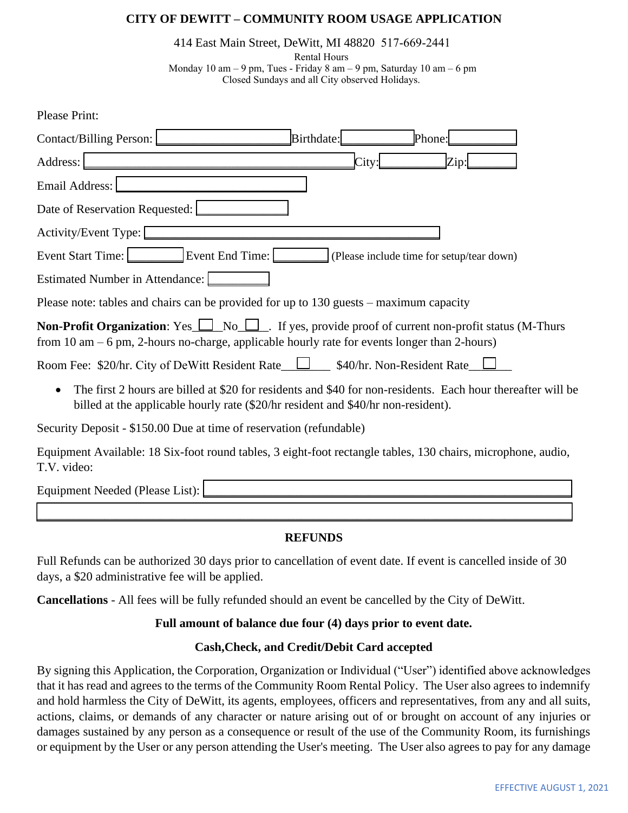## **CITY OF DEWITT – COMMUNITY ROOM USAGE APPLICATION**

414 East Main Street, DeWitt, MI 48820 517-669-2441

Rental Hours Monday 10 am – 9 pm, Tues - Friday 8 am – 9 pm, Saturday 10 am – 6 pm Closed Sundays and all City observed Holidays.

| <b>Please Print:</b>                                                                                                                                                                                                 |
|----------------------------------------------------------------------------------------------------------------------------------------------------------------------------------------------------------------------|
| Birthdate:<br>Phone:<br>Contact/Billing Person:                                                                                                                                                                      |
| Address:<br>City:<br>Zip:                                                                                                                                                                                            |
| Email Address:                                                                                                                                                                                                       |
| Date of Reservation Requested:                                                                                                                                                                                       |
| Activity/Event Type:                                                                                                                                                                                                 |
| Event Start Time: Event End Time:<br>$\int$ (Please include time for setup/tear down)                                                                                                                                |
| Estimated Number in Attendance:                                                                                                                                                                                      |
| Please note: tables and chairs can be provided for up to 130 guests – maximum capacity                                                                                                                               |
| <b>Non-Profit Organization:</b> Yes $\Box$ No $\Box$ . If yes, provide proof of current non-profit status (M-Thurs<br>from 10 $am - 6$ pm, 2-hours no-charge, applicable hourly rate for events longer than 2-hours) |
| Room Fee: \$20/hr. City of DeWitt Resident Rate__L____ \$40/hr. Non-Resident Rate__                                                                                                                                  |
| The first 2 hours are billed at \$20 for residents and \$40 for non-residents. Each hour thereafter will be<br>billed at the applicable hourly rate (\$20/hr resident and \$40/hr non-resident).                     |
| Security Deposit - \$150.00 Due at time of reservation (refundable)                                                                                                                                                  |
| Equipment Available: 18 Six-foot round tables, 3 eight-foot rectangle tables, 130 chairs, microphone, audio,                                                                                                         |

T.V. video:

| $\mathbf{r}$<br>.<br>E OI<br>.<br><br>1.3.7<br>71.<br>-<br>. <del>.</del> .<br>. |  |
|----------------------------------------------------------------------------------|--|
|                                                                                  |  |

 $\overline{\phantom{a}}$ 

## **REFUNDS**

Full Refunds can be authorized 30 days prior to cancellation of event date. If event is cancelled inside of 30 days, a \$20 administrative fee will be applied.

**Cancellations** - All fees will be fully refunded should an event be cancelled by the City of DeWitt.

## **Full amount of balance due four (4) days prior to event date.**

## **Cash,Check, and Credit/Debit Card accepted**

By signing this Application, the Corporation, Organization or Individual ("User") identified above acknowledges that it has read and agrees to the terms of the Community Room Rental Policy. The User also agrees to indemnify and hold harmless the City of DeWitt, its agents, employees, officers and representatives, from any and all suits, actions, claims, or demands of any character or nature arising out of or brought on account of any injuries or damages sustained by any person as a consequence or result of the use of the Community Room, its furnishings or equipment by the User or any person attending the User's meeting. The User also agrees to pay for any damage